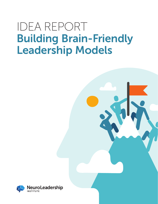## IDEA REPORT Building Brain-Friendly Leadership Models

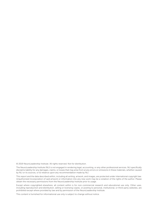© 2019 NeuroLeadership Institute. All rights reserved. Not for distribution.

The NeuroLeadership Institute (NLI) is not engaged in rendering legal, accounting, or any other professional services. NLI specifically disclaims liability for any damages, claims, or losses that may arise from a) any errors or omissions in these materials, whether caused by NLI or its sources, or b) reliance upon any recommendation made by NLI.

This report and the data described within, including all writing, artwork, and images, are protected under international copyright law. Unauthorized incorporation of said artwork or information into any new work may be a violation of the rights of the author. Please obtain the necessary permissions from the NeuroLeadership Institute prior to usage.

Except where copyrighted elsewhere, all content within is for non-commercial research and educational use only. Other uses, including reproduction and distribution, selling or licensing copies, or posting to personal, institutional, or third-party websites, are prohibited except where provided by law and by permission of the NeuroLeadership Institute.

This content is furnished for informational use only is subject to change without notice.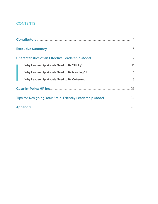#### **CONTENTS**

| Tips for Designing Your Brain-Friendly Leadership Model 24 |  |
|------------------------------------------------------------|--|
|                                                            |  |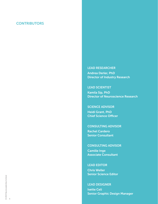#### **CONTRIBUTORS**

#### LEAD RESEARCHER

Andrea Derler, PhD Director of Industry Research

#### LEAD SCIENTIST

Kamila Sip, PhD Director of Neuroscience Research

#### SCIENCE ADVISOR

Heidi Grant, PhD Chief Science Officer

#### CONSULTING ADVISOR

Rachel Cardero Senior Consultant

#### CONSULTING ADVISOR

Camille Inge Associate Consultant

#### LEAD EDITOR

Chris Weller Senior Science Editor

#### LEAD DESIGNER

Ivette Celi Senior Graphic Design Manager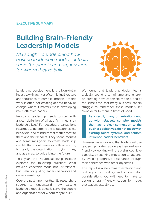### Building Brain-Friendly Leadership Models

*NLI sought to understand how existing leadership models actually serve the people and organizations for whom they're built.*



Leadership development is a billion-dollar industry, with archives of conflicting literature and thousands of complex models. Yet this work is often not creating desired behavior change where it matters most: developing more effective leaders.

Improving leadership needs to start with a clear definition of what a firm means by leadership itself. For decades, organizations have tried to determine the values, principles, behaviors, and mindsets that matter most to them and their leaders. They spend months and sometimes years to create leadership models that should serve as both an anchor, to steady the organization in trying times, and as a map, to guide it into the future.

This year, the NeuroLeadership Institute explored the following question: What makes a leadership model not just relevant, but useful for guiding leaders' behaviors and decision-making?

Over the past nine months, NLI researchers sought to understand how existing leadership models actually serve the people and organizations for whom they're built.

We found that leadership design teams typically spend a lot of time and energy on creating new leadership models, and at the same time, that many business leaders struggle to remember these models, let alone defer to them in times of need.

As a result, many organizations end up with relatively complex models that: lack a clear connection to the business objectives, do not mesh with existing talent systems, and seldom influence leaders' behaviors.

However, we also found that leaders will use leadership models, as long as they are brainfriendly by working with the brain's cognitive capacity, by sparking motivation to act, and by avoiding cognitive dissonance through their coherence with other objectives.

This report is a step toward explaining and building on our findings and outlines what considerations you will need to make to design a brain-friendly leadership model that leaders actually use.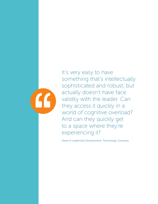

It's very easy to have something that's intellectually sophisticated and robust, but actually doesn't have face validity with the leader. Can they access it quickly in a world of cognitive overload? And can they quickly get to a space where they're experiencing it?

*Head of Leadership Development, Technology Company*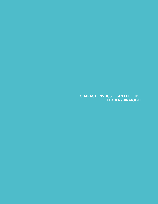CHARACTERISTICS OF AN EFFECTIVE LEADERSHIP MODEL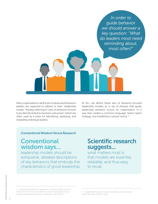*In order to guide behavior we should answer a key question: "What do leaders most need reminding about, most often?"*

Many organizations call the set of values and behaviors leaders are expected to adhere to their "leadership model," thereby referring to "sets of behaviors known to be directly linked to business outcomes"<sup>1</sup> which are often used as a basis for identifying, assessing, and rewarding individual leaders.

At NLI, we define these sets of behavior-focused leadership models as "a set of phrases that guide leadership behavior across an organization in a way that creates a common language, tailors talent strategy, and establishes cultural norms."2

#### Conventional Wisdom Versus Research

#### **Conventional** wisdom says.

leadership models should be exhaustive, detailed descriptions of key behaviors that embody the characteristics of good leadership.

#### Scientific research suggests...

what matters most is that models are essential, relatable, and thus easy to recall.

<sup>1</sup> Developing Leadership Capabilities, McKinsey (2013), found at https://www.mckinsey.com/business-functions/operations/ourinsights/developing-leadership-capabilities, 10/25/2019

<sup>2</sup> Leadership Principles: to get actionable, you need to get memorable. NLI Point-of-View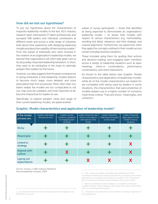#### How did we test our hypotheses?

To put our hypotheses about the characteristics of impactful leadership models to the test, NLI's industry research team interviewed 17 talent professionals and surveyed 568 leaders and individual contributors at different levels and across a wide range of industries both about their experience with designing leadership models and about the usability of their existing models. $3$ From the subset of individuals who were involved in the creation of an organization's leadership models, we learned that organizations will often take great care to list all possibly important leadership behaviors. In short, they want to be exhaustive in the hope to optimally prepare their leaders for the future.

However, our data suggests that the great consequence of going exhaustive is that leadership models balloon to become much larger, more detailed, and more prescriptive than first envisioned. More often than not, teams realize the models are too complicated to roll out, may soon be outdated, and most important of all, become impractical for leaders to use.

Specifically, to explore people's views and usage of their current leadership models, we asked another

subset of survey participants — those that identified as being expected to demonstrate an organization's leadership model  $-$  to assess their models with respect to various characteristics (e.g. memorability, wording and detail, relevance, and their strategic and cultural alignment). Furthermore, we asked how often they apply the concepts outlined in their models across certain everyday business situations.

These included using them for guiding their actions and decision-making, and engaging team members across a variety of leadership situations such as team meetings, check-in conversations, performance conversations, and client interactions.4

As shown in the table below (see Graphic: Model characteristics and application of leadership model), while all of the model characteristics we tested for are correlated with being used by leaders in some situations, the characteristics that were predictive of models leaders use in a higher number of scenarios meet three criteria: They are sticky<sup>5</sup>, meaningful, and coherent.6

| If the model<br>phrases are:   | Leaders make better<br>decisions at work | Leaders use the<br>model as a quideline<br>for engaging team<br>members | Leaders frequently take<br>action in accordance<br>with aspects of the<br>model <sup>'</sup> | Leaders frequently<br>make decisions based<br>on the model | Leaders frequently<br>apply aspects of the<br>model in various<br>situations |
|--------------------------------|------------------------------------------|-------------------------------------------------------------------------|----------------------------------------------------------------------------------------------|------------------------------------------------------------|------------------------------------------------------------------------------|
| <b>Sticky</b>                  |                                          |                                                                         |                                                                                              |                                                            |                                                                              |
| Meaningful                     |                                          | ÷                                                                       |                                                                                              |                                                            |                                                                              |
| Linked to<br>strategy          |                                          | داد                                                                     | 4-                                                                                           |                                                            | X                                                                            |
| <b>Aligned with</b><br>culture |                                          | X                                                                       |                                                                                              |                                                            | X                                                                            |
| Laying out<br>expectations     |                                          |                                                                         |                                                                                              | X                                                          |                                                                              |

#### Graphic: Model characteristics and application of leadership model:<sup>4</sup>

*Source: Survey, n=289, Industry Research, NeuroLeadership Institute, 2019*

4 The + refers to positive and statistically significant (p<0.05) correlations between the model characteristics as tested across leader applications via multiple linear regression analyses. The X indicates a lack of correlation between these variables in the same models.

5 Based on satisfactory factor analyses, we created a composite variable to define "sticky" based on the survey item "easy to remember" and "not complicated and wordy".

6 Coherence was measured as being 'linked to strategic objectives of the organization'.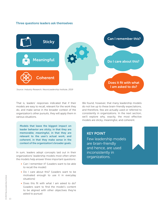#### Three questions leaders ask themselves



That is, leaders' responses indicated that if their models are easy to recall, relevant for the work they do, and make sense in the broader context of the organization's other pursuits, they will apply them in various situations.

Models that leave the biggest impact on leader behavior are *sticky*, in that they are memorable; *meaningful*, in that they are relevant to the user's actual work; and *coherent*, in that they make sense in the context of the organization's broader goals.

In sum, leaders adopt concepts laid out in their organizations' leadership models most often when the models help answer three important questions:

- Can I remember it? (Leaders want to be able to recall the model)
- Do I care about this? (Leaders want to be motivated enough to use it in everyday situations)
- Does this fit with what I am asked to do? (Leaders want to find the model's content to be aligned with other objectives they're asked to pursue)

We found, however, that many leadership models do not live up to these brain-friendly expectations, and therefore, few are actually used or referred to consistently in organizations. In the next section, we'll explore why, exactly, the most effective models are sticky, meaningful, and coherent.

#### KEY POINT

Few leadership models are brain-friendly and hence, are used inconsistently in organizations.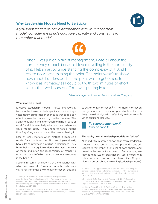

#### Why Leadership Models Need to Be Sticky

*If you want leaders to act in accordance with your leadership model, consider the brain's cognitive capacity and constraints to remember that model.*



When I was junior in talent management, I was all about the competency model, because I loved revelling in the complexity of it. I felt smart by understanding the complexity of it. And I realize now I was missing the point. The point wasn't to show how much I understood it. The point was to get others to know it as intimately as I could but with two minutes of effort versus the two hours of effort I was putting in for it.

*Talent Management Leader, Petrochemicals Company*

#### What matters is recall

Effective leadership models should intentionally factor in the brain's limited capacity for processing a vast amount of information at once so that people can effectively *use* the models to guide their behavior. The ability to quickly bring information to mind is "ease of recall," and it is essentially what we mean when we call a model "sticky"— you'll tend to have a harder time *forgetting* a sticky model, than remembering it.

Ease of recall matters when crafting a leadership model, for a couple reasons. First, employees already have a lot of information swirling in their heads. They have their own cognitively demanding tasks in front of them, and often the responsibility of managing other people, all of which eats up precious resources in the brain.<sup>78</sup>

Second, research has shown that the efficiency with which we can recall information not only predicts our willingness to engage with that information, but also

8 Ophir, E., Nass, C., & Wagner, A. D. (2009). Cognitive control in media multitaskers. Proceedings of the National Academy of Sciences, 106(37), 15583-15587.

to act on that information.<sup>9 10</sup> The more information one gets to process in a short period of time the less likely they will do it, or do it effectively without errors.<sup>11</sup> Or, to put it another way,



#### The reality: Not all leadership models are "sticky"

NLI's industry research shows that many leadership models may be too long and comprehensive and ask leaders to remember a long list of core phrases and desirable behaviors to adhere to. For example, we learned that 41% of organizations use a model that relies on more than five core phrases (See Graphic: Number of core phrases in existing leadership models).

<sup>7</sup> Roda, C., & Nabeth, T. (2008). Attention management in organizations: Four levels of support in information systems. In A. Bounfour (Ed.), Organizational capital: Modeling, measuring and contextualizing. Routledge (Advanced research series in management). Routledge, pp. 214-233.

<sup>9</sup> Alter, A. L., & Oppenheimer, D. M. (2008). Effects of fluency on psychological distance and mental construal (or why New York is a large city, but New York is a civilized jungle). Psychological Science, 19(2), 161-167.

<sup>10</sup> Halford, G. S., Cowan, N., & Andrews, G. (2007). Separating cognitive capacity from knowledge: A new hypothesis. Trends in Cognitive Sciences, 11(6), 236-242.

<sup>11</sup> Drew, T., Vo, M. L.-H., & Wolfe, J. M. (2013). The invisible gorilla strikes again: Sustained inattentional blindness in expert observers. Psychological Science, 24(9), 1848–1853. http://doi. org/10.1177/0956797613479386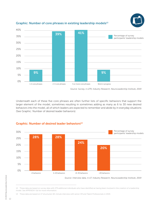

#### Graphic: Number of core phrases in existing leadership models<sup>13</sup>

*Source: Survey, n=279, Industry Research, NeuroLeadership Institute, 2019*

Underneath each of these five core phrases are often further lists of specific behaviors that support the larger element of the model, sometimes resulting in sometimes adding as many as 6 to 30 new desired behaviors into the model, all of which leaders are expected to remember and abide by in everyday situations (See Graphic: Number of desired leader behaviors).



#### Graphic: Number of desired leader behaviors<sup>14</sup>

*Source: Interview data, n=17, Industry Research, NeuroLeadership Institute, 2019*

13 These data are based on 17 structured, 60-minute interview with senior HR and Talent Professionals in 2019.

<sup>12</sup> These data are based on survey data with 279 additional individuals who have identified as having been involved in the creation of a leadership model. See APPENDIX I (b) for more information.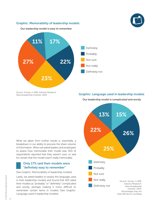

#### Graphic: Memorability of leadership models



Our leadership model is easy to remember



*Source: Survey, n=289, Industry Research, NeuroLeadership Institute, 2019*

#### Graphic: Language used in leadership models

Our leadership model is complicated and wordy

What we glean from further results is, essentially, a breakdown in our ability to process the sheer volume of information. When we asked leaders and employees to assess how memorable their model was, 61% of respondents reported that they weren't sure, or said for certain that the model wasn't really memorable.

#### Only 17% said their models were "definitely easy to remember"

(See Graphic: Memorability of leadership models)

Lastly, we asked leaders to assess the language used in their leadership models and found that 41% rated their models as "probably" or "definitely" complicated and wordy, perhaps making it more difficult to remember certain items in models (See Graphic: Language used in leadership models).



*Percentages may not total 100 due to rounding*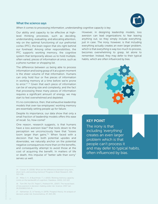

#### What the science says

*When it comes to processing information, understanding cognitive capacity is key.*

Our ability and capacity to be effective at highlevel thinking processes, such as deciding, understanding, evaluating, and allocating attention, rely on the optimal functioning of our prefrontal cortex (PFC), the brain region that sits right behind our forehead. Among other responsibilities, the PFC supports working memory, the cognitive system that temporarily allows us to hold multiple, often varied, pieces of information at once, such as a phone number or shopping list.

The difference between us being able to process information and losing grasp of it at a given moment is the sheer volume of that information. Humans can only hold four or five pieces of information in working memory at a time before we're prone to error.<sup>14 15</sup> Given that each piece of information can be of varying size and complexity, and the fact that processing these many pieces of information requires a significant amount of energy, we may start to feel overwhelmed and depleted.

It's no coincidence, then, that exhaustive leadership models that over-tax employees' working memory are essentially setting people up for failure.

Despite its importance, our data show that only a small fraction of leadership models offers this ease of recall. So, how come?

One reason, research suggests, is that humans have a loss aversion bias<sup>16</sup> that boils down to the perception we unconsciously have that "losses loom larger than gains."<sup>17</sup> When faced with a decision that has both potential upsides and downsides, we naturally anchor on the potential negative consequences more than on the benefits, and consequently attempt to avoid those at the cost of acquiring the benefit. In matters of life or death, this impulse of "better safe than sorry" serves us well.

14 Cowan, N. (2008). What are the differences between long-term, short-term, and working memory? Progress in Brain Research, 169, 323-338.

15 Miller, E. K., & Buschman, T. J. (2015). Working memory capacity: Limits on the bandwidth of cognition. Daedalus, 144(1), 112-122

16 Tom SM, Fox CR, Trepel C, Poldrack RA., (2007). The neural basis of loss aversion in decision-making under risk. Science. 2007 Jan 26;315(5811):515-8.

17 Kahneman, D., & Tversky, A. (1979). Prospect theory: An analysis of decision under risk. Econometrica, 47, 263-291

However, in designing leadership models, loss aversion can lead organizations to fear leaving anything out, so they simply include everything, just in case. The irony, however, is that including everything actually creates an even larger problem, which is that *everything* is way too much to process, becomes overwhelming to grasp, let alone to remember. Instead, they may defer to their typical habits, which are often influenced by bias.



#### KEY POINT

The irony is that including 'everything' creates an even larger problem which is that people can't process it and may defer to typical habits, often influenced by bias.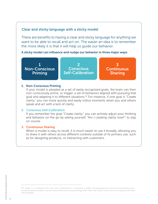#### Clear and sticky language with a sticky model

There are benefits to having a clear and sticky language for anything we want to be able to recall and act on. The easier an idea is to remember the more likely it is that it will help us guide our behavior.

A sticky model can influence and nudge our behavior in three major ways:

1 Non-Conscious Priming

2 **Conscious** Self-Calibration

3 **Continuous** Sharing

#### 1. Non-Conscious Priming

If your model is adopted as a set of easily recognized goals, the brain can then non-consciously prime, or trigger, a set of behaviors aligned with pursuing that goal and adapting it to different situations.<sup>18</sup> For instance, if one goal is "Create clarity," you can more quickly and easily notice moments when you and others speak and act with a lack of clarity.

#### 2. Conscious Self-Calibration

If you remember the goal "Create clarity," you can actively adjust your thinking and behavior on the go by asking yourself, "Am I creating clarity now?" to stay on course.

#### 3. Continuous Sharing

When a model is easy to recall, it is much easier to use it broadly, allowing you to share it with others across different contexts outside of its primary use, such as for designing products, or interacting with customers.

<sup>18</sup> Bargh, J. A., Gollwitzer, P. M., Lee-Chai, A., Barndollar, K., & Trötschel, R. (2001). The automated will: nonconscious activation and pursuit of behavioral goals. Journal of personality and social psychology, 81(6), 1014–1027. https://www.ncbi.nlm.nih.gov/pmc/articles/ PMC3005626/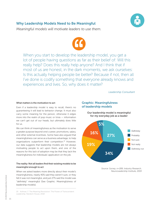#### Why Leadership Models Need to Be Meaningful



*Meaningful models will motivate leaders to use them.*



When you start to develop the leadership model, you get a lot of people having questions as far as their belief of: Will this really help? Does this really help anyone? And I think that if most of us are honest, in the dark moments, we ask ourselves: Is this actually helping people be better? Because if not, then all I've done is codify something that everyone already knows and experiences and lives. So, why does it matter?

*Leadership Consultant*

#### What matters is the motivation to act

Even if a leadership model is easy to recall, there's no guaranteeing it will lead to behavior change. It must also carry some meaning for the person, otherwise it edges more into the realm of pop music or trivia — information we can't get out of our heads, but ultimately does little for us.

We can think of meaningfulness as the motivation to serve a greater purpose beyond one's career, promotions, salary, and other external incentives. Some have also argued that meaningfulness can serve as a business advantage, to help organizations outperform their competition.<sup>19</sup> However, our data suggests that leadership models are not always motivating people to act upon them, and one of the reasons for this lack of adoption may be that they lack the meaningfulness for individuals' application on the job.

#### The reality: Not all leaders find their existing models to be meaningful enough to act

When we asked leaders more directly about their model's meaningfulness, nearly 40% said they weren't sure, or they felt it was not meaningful, and just 27% said the model was "definitely" meaningful (See Graphic: Meaningfulness of leadership models).

Graphic: Meaningfulness of leadership models



Our leadership model is meaningful

*Source: Survey, n=289, Industry Research, NeuroLeadership Institute, 2019*

<sup>19</sup> Kofman, F. The Meaning Revolution: The Power of Transcendent Leadership. Random House, 2018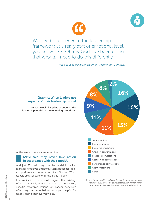



We need to experience the leadership framework at a really sort of emotional level, you know, like, 'Oh my God, I've been doing that wrong. I need to do this differently.'

*Head of Leadership Development Technology Company*



*Source: Survey, n=289, Industry Research, NeuroLeadership Institute, 2019. Percentage indicates survey respondents who use their leadership models in the listed situations.*

#### Graphic: When leaders use aspects of their leadership model

In the past week, I applied aspects of the leadership model in the following situations:

At the same time, we also found that

#### (21%) said they never take action in accordance with their model.

And just 28% said they use the model in critical manager-employee situations, such as feedback, goal, and performance conversations (See Graphic: When leaders use aspects of their leadership model).

In combination, these results suggest that existing, often traditional leadership models that provide very specific recommendations for leaders' behaviors often may not be as helpful as hoped helpful for leaders doing their everyday jobs.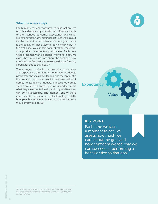#### What the science says

For humans to feel motivated to take action, we rapidly and repeatedly evaluate two different aspects of the intended outcome: expectancy and value. Expectancy is the assumption that things will turn out for the better, in concordance with our goal. Value is the quality of that outcome being meaningful in the first place. We can think of motivation, therefore, as a product of expectancy and value. Each time we're presented with a potential moment to act, we assess how much we care about the goal and how confident we feel that we can succeed at performing a behavior tied to that goal.<sup>20</sup>

The strongest motivation comes when both value and expectancy are high. It's when we are deeply passionate about a particular goal and feel optimistic that we can produce a positive outcome. When it comes to leadership models, effective outcomes stem from leaders knowing in no uncertain terms what they are expected to do, and why, and feel they can do it successfully. The moment one of these components is missing or is not satisfactory, it shifts how people evaluate a situation and what behavior they perform as a result.

# **Expectancy** Value

#### KEY POINT

Each time we face a moment to act, we assess how much we care about the goal and how confident we feel that we can succeed at performing a behavior tied to that goal.

<sup>20</sup> Fishbein, M., & Ajzen, I. (1975). "Belief, Attitude, Intention, and Behavior: An Introduction to Theory and Research ". Reading, MA: Addison-Wesley.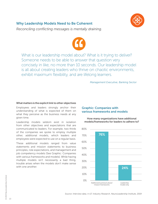#### Why Leadership Models Need to Be Coherent



*Reconciling conflicting messages is mentally draining.*



What is our leadership model about? What is it trying to deliver? Someone needs to be able to answer that question very concisely in like, no more than 10 seconds. Our leadership model is all about creating leaders who thrive on chaotic environments, exhibit maximum flexibility, and are lifelong learners.

*Management Executive, Banking Sector*

#### What matters is the explicit link to other objectives

Employees and leaders strongly anchor their understanding of what is expected of them on what they perceive as the business needs at any given time.

Leadership models seldom exist in isolation from other objectives and expectations that are communicated to leaders. For example, two thirds of the companies we spoke to employ multiple other, additional models, which leaders and employees were expected to use on a regular basis.

These additional models ranged from value statements and mission statements to business principles, role expectations, and management and job competency models (See Graphic: Companies with various frameworks and models). While having multiple models isn't necessarily a bad thing, trouble arises when the models don't make sense with one another.

#### Graphic: Companies with various frameworks and models

How many organizations have additional models/frameworks for leaders to adhere to?

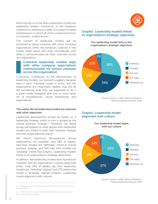

Which brings us to the final component of effective leadership models: coherence. In the literature, coherence is defined as a state of a system of ideas and behaviors in which all of the components form a consistent, unified whole.<sup>21</sup>

The content of leadership models will be perceived as being coherent with other company expectations when the behaviors outlined in the model make sense and align conceptually with what is communicated via other channels across the organization.

#### Coherent leadership models align with other company expectations communicated via various channels across the organization.

Coherence contributes to the effectiveness of leadership models, our research suggests, because even if each individual model is sticky, and the expectations are meaningful, leaders may still be left wondering what they are supposed to do if a given model disagrees with one or more other set of competencies, values, frameworks, and expectations.

#### The reality: Not all leadership models are coherent with other objectives

Leadership development should be based on a leadership strategy, which in turn is guided by the overall business strategy.<sup>22</sup> Therefore, we asked survey participants to what degree their leadership models are linked to both their business strategy and their organizational culture.

We found surprising discrepancies across respondents. For example, only 28% of leaders said their models are "definitely" linked to overall business strategy, and 34% said their models are "probably" linked (See Graphic: Leadership models linked to an organization's strategic objectives).

In addition, few leadership models were found to be coherent with an organization's cultural objectives either: Only 29% of leaders say their leadership models are "definitely" aligned, and 37% believe the model is "probably" aligned (Graphic: Leadership model alignment with culture).

#### 21 Chesebrough et al.,NeuroLeadership Institute Journal, Volume 8, February 2019

22 https://www.ccl.org/articles/leading-effectively-articles/got-astrong-leadership-strategy/

#### Graphic: Leadership models linked to organization's strategic objectives

Our leadership model links to the organization's strategic objectives



*Source: Survey, n=289, Industry Research, NeuroLeadership Institute, 2019*

#### Graphic: Leadership model alignment with culture



*Source: Survey, n=289, Industry Research, NeuroLeadership Institute, 2019*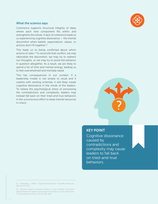#### What the science says

Coherence supports structural integrity of ideas where each new component fits within and strengthens the whole. A lack of coherence leads to us experiencing cognitive dissonance — the mental discomfort when beliefs, expectations, values, or actions don't fit together.<sup>23</sup>

This leads us to being conflicted about which actions to take.<sup>24</sup> To reconcile that conflict, we may rationalize the discomfort, we may try to redirect our thoughts, or we may try to avoid the behavior in question altogether. As a result, we are likely to spend a lot of time and mental energy, leading us to feel overwhelmed and mentally taxed.

This has consequences in our context: If a leadership model is not simple to recall and it clashes with existing schemas, it will likely create cognitive dissonance in the minds of the leaders. To relieve the psychological stress of processing the contradictions and complexity, leaders may instead fall back on their tried-and-true behaviors in the unconscious effort to keep mental resources in check.





#### KEY POINT

Cognitive dissonance caused by contradictions and complexity may cause leaders to fall back on tried-and-true behaviors.

24 Harmon-Jones, E; Harmon-Jones, C; Levy, N (2015). "An Actionbased Model of Cognitive-dissonance Processes". Current Directions in Psychological Science. 24 (3): 184–189.

<sup>23</sup> (Festinger, L. (1962). "Cognitive dissonance". Scientific American. 207 (4): 93–107)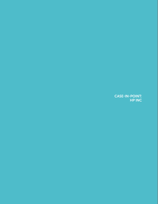CASE-IN-POINT: HP INC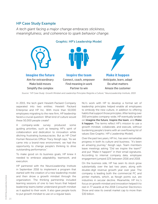#### HP Case Study Example

*A tech giant facing a major change embraces stickiness, meaningfulness, and coherence to spark behavior change.*



In 2015, the tech giant Hewlett-Packard Company separated into two entities: Hewlett Packard Enterprise and HP Inc. With more than 50,000 employees migrating to the new firm, HP leadership faced a crucial question: What kind of culture would these 50,000 people create?

A company-wide survey produced some guiding priorities, such as keeping HP's spirit of collaboration and dedication to innovation while ditching frustrating bureaucracies. But as HP Chief Human Resources Officer Tracy Keogh says, "As we came into a brand-new environment, we had the opportunity to change people's thinking to drive outstanding performance."

To make good on its business goals, HP knew it needed to embrace adaptability, teamwork, and execution.

HP partnered with the NeuroLeadership Institute in September 2016 to implement a program that started with the creation of a new leadership model and then drove a growth mindset through the organization. The thinking partnership included learning sessions of one to two hours that helped leadership teams better understand growth mindset as it applied to their work. It also gave people tools to put growth mindset to use on a regular basis.

NLI's work with HP to develop a formal set of leadership principles helped enable all employees to embody the new culture, in addition to offering habits that support those principles. After testing over 300 principles company-wide, HP eventually landed on Imagine the future, Inspire the team, and Make it happen. The terms reflect HP's mission to use a growth mindset, collaborate, and execute, without burdening people's brains with an overflowing list of values (See Graphic: HP's Leadership Model).

Over the past two years, HP Inc. has seen remarkable progress in both its culture and business. "It's been an amazing journey," Keogh says. Team members leave meetings asking "Did we inspire the team?" and put "Make it happen!" in their email signatures. According to internal company data, employee engagement jumped 22% between 2016 and 2018.

On the business side, HP has seen its stock grow substantially over the last two years, along with double-digit revenue growth year over year. The company is leading both the commercial PC and printer markets, which, as Keogh points out, are industries in secular decline. Meanwhile, HP Inc.'s focus on growth mindset and innovation helped it to reel in 77 awards at the 2018 Consumer Electronics Show and raise its overall market cap to more than \$30 billion.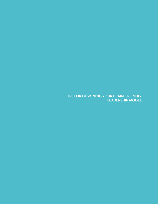TIPS FOR DESIGNING YOUR BRAIN-FRIENDLY LEADERSHIP MODEL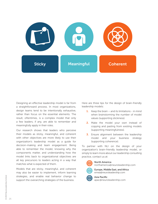

Designing an effective leadership model is far from a straightforward process. In most organizations, design teams tend to be intentionally exhaustive, rather than focus on the essential elements. The result, oftentimes, is a complex model that only a few leaders, if any, are able to remember and meaningfully apply in their roles.

Our research shows that leaders who perceive their models as sticky, meaningful, and coherent with other objectives are more likely to use their organization's leadership model as a guide for decision-making and team engagement. Being able to remember the model, knowing why the components matter, and understanding how the model links back to organizational objectives are all key precursors to leaders acting in a way that matches what is expected of them.

Models that are sticky, meaningful, and coherent may also be easier to implement, inform learning strategies, and enable real behavior change to support the overarching strategies of the business.

Here are three tips for the design of brain-friendly leadership models:

- **1.** Keep the brain and its limitations in mind when brainstorming the number of model values (supporting stickiness).
- 2. Make the model your own instead of copying and pasting from existing models (supporting meaningfulness).
- 3. Ensure alignment between the leadership model and your business strategy (supporting coherence).

To partner with NLI on the design of your organization's brain-friendly leadership model, or simply to learn more about our leadership consulting practice, contact us at:



North America northamerica@neuroleadership.com



Europe, Middle East, and Africa emea@neuroleadership.com

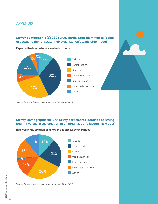#### APPENDIX

#### Survey demographic (a): 289 survey participants identified as "being expected to demonstrate their organization's leadership model"

Expected to demonstrate a leadership model



*Source: Industry Research, NeuroLeadership Institute, 2019*

#### Survey Demographic (b): 279 survey participants identified as having been "involved in the creation of an organization's leadership model"

C-Suite Senior leader Director Middle manager First-time leader Individual contributor Other 11% 12% 21% 26% 14% 15% 1%

Involved in the creation of an organization's leadership model

*Source: Industry Research, NeuroLeadership Institute, 2019*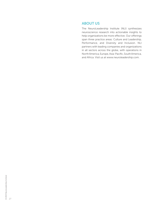#### ABOUT US

The NeuroLeadership Institute (NLI) synthesizes neuroscience research into actionable insights to help organizations be more effective. Our offerings span three practice areas: Culture and Leadership, Performance, and Diversity and Inclusion. NLI partners with leading companies and organizations in all sectors across the globe, with operations in North America, Europe, Asia-Pacific, South America, and Africa. Visit us at www.neuroleadership.com.